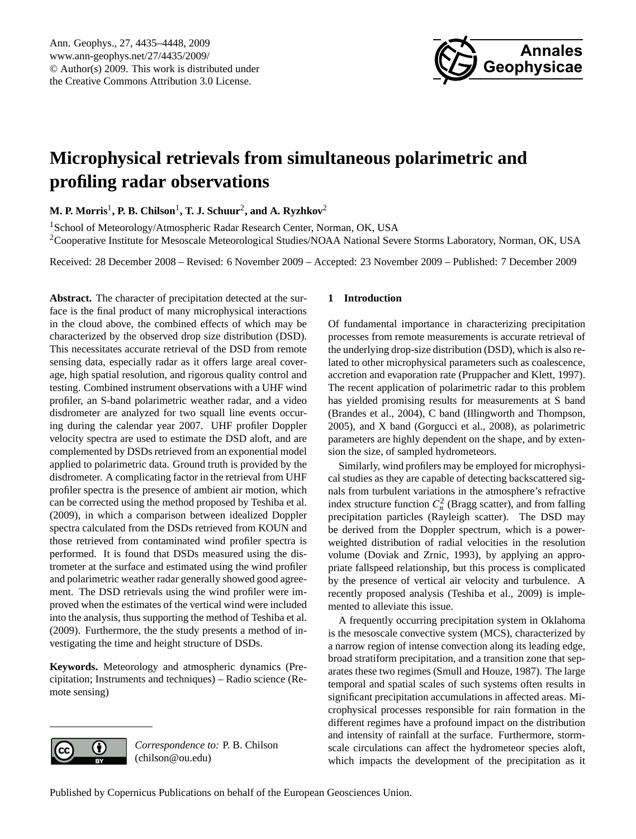

# <span id="page-0-0"></span>**Microphysical retrievals from simultaneous polarimetric and profiling radar observations**

 $\mathbf{M.}$  **P. Morris** $^1$ **, P. B. Chilson** $^1$ **, T. J. Schuur** $^2$ **, and A. Ryzhkov** $^2$ 

<sup>1</sup>School of Meteorology/Atmospheric Radar Research Center, Norman, OK, USA <sup>2</sup>Cooperative Institute for Mesoscale Meteorological Studies/NOAA National Severe Storms Laboratory, Norman, OK, USA

Received: 28 December 2008 – Revised: 6 November 2009 – Accepted: 23 November 2009 – Published: 7 December 2009

**Abstract.** The character of precipitation detected at the surface is the final product of many microphysical interactions in the cloud above, the combined effects of which may be characterized by the observed drop size distribution (DSD). This necessitates accurate retrieval of the DSD from remote sensing data, especially radar as it offers large areal coverage, high spatial resolution, and rigorous quality control and testing. Combined instrument observations with a UHF wind profiler, an S-band polarimetric weather radar, and a video disdrometer are analyzed for two squall line events occuring during the calendar year 2007. UHF profiler Doppler velocity spectra are used to estimate the DSD aloft, and are complemented by DSDs retrieved from an exponential model applied to polarimetric data. Ground truth is provided by the disdrometer. A complicating factor in the retrieval from UHF profiler spectra is the presence of ambient air motion, which can be corrected using the method proposed by [Teshiba et al.](#page-13-0) [\(2009\)](#page-13-0), in which a comparison between idealized Doppler spectra calculated from the DSDs retrieved from KOUN and those retrieved from contaminated wind profiler spectra is performed. It is found that DSDs measured using the distrometer at the surface and estimated using the wind profiler and polarimetric weather radar generally showed good agreement. The DSD retrievals using the wind profiler were improved when the estimates of the vertical wind were included into the analysis, thus supporting the method of [Teshiba et al.](#page-13-0) [\(2009\)](#page-13-0). Furthermore, the the study presents a method of investigating the time and height structure of DSDs.

**Keywords.** Meteorology and atmospheric dynamics (Precipitation; Instruments and techniques) – Radio science (Remote sensing)

# **1 Introduction**

Of fundamental importance in characterizing precipitation processes from remote measurements is accurate retrieval of the underlying drop-size distribution (DSD), which is also related to other microphysical parameters such as coalescence, accretion and evaporation rate [\(Pruppacher and Klett,](#page-13-1) [1997\)](#page-13-1). The recent application of polarimetric radar to this problem has yielded promising results for measurements at S band [\(Brandes et al.,](#page-12-0) [2004\)](#page-12-0), C band [\(Illingworth and Thompson,](#page-13-2) [2005\)](#page-13-2), and X band [\(Gorgucci et al.,](#page-13-3) [2008\)](#page-13-3), as polarimetric parameters are highly dependent on the shape, and by extension the size, of sampled hydrometeors.

Similarly, wind profilers may be employed for microphysical studies as they are capable of detecting backscattered signals from turbulent variations in the atmosphere's refractive index structure function  $C_n^2$  (Bragg scatter), and from falling precipitation particles (Rayleigh scatter). The DSD may be derived from the Doppler spectrum, which is a powerweighted distribution of radial velocities in the resolution volume [\(Doviak and Zrnic,](#page-12-1) [1993\)](#page-12-1), by applying an appropriate fallspeed relationship, but this process is complicated by the presence of vertical air velocity and turbulence. A recently proposed analysis [\(Teshiba et al.,](#page-13-0) [2009\)](#page-13-0) is implemented to alleviate this issue.

A frequently occurring precipitation system in Oklahoma is the mesoscale convective system (MCS), characterized by a narrow region of intense convection along its leading edge, broad stratiform precipitation, and a transition zone that separates these two regimes [\(Smull and Houze,](#page-13-4) [1987\)](#page-13-4). The large temporal and spatial scales of such systems often results in significant precipitation accumulations in affected areas. Microphysical processes responsible for rain formation in the different regimes have a profound impact on the distribution and intensity of rainfall at the surface. Furthermore, stormscale circulations can affect the hydrometeor species aloft, which impacts the development of the precipitation as it



*Correspondence to:* P. B. Chilson (chilson@ou.edu)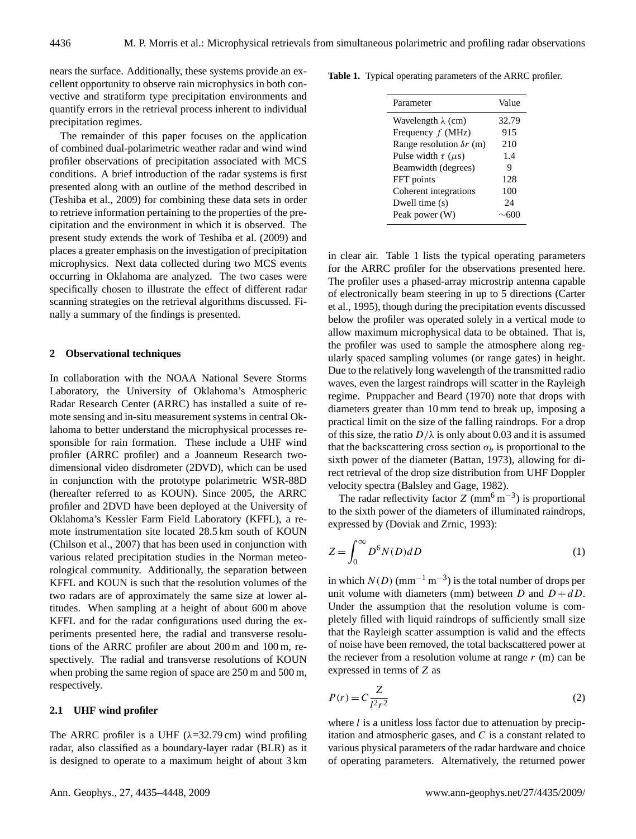nears the surface. Additionally, these systems provide an excellent opportunity to observe rain microphysics in both convective and stratiform type precipitation environments and quantify errors in the retrieval process inherent to individual precipitation regimes.

The remainder of this paper focuses on the application of combined dual-polarimetric weather radar and wind wind profiler observations of precipitation associated with MCS conditions. A brief introduction of the radar systems is first presented along with an outline of the method described in [\(Teshiba et al.,](#page-13-0) [2009\)](#page-13-0) for combining these data sets in order to retrieve information pertaining to the properties of the precipitation and the environment in which it is observed. The present study extends the work of [Teshiba et al.](#page-13-0) [\(2009\)](#page-13-0) and places a greater emphasis on the investigation of precipitation microphysics. Next data collected during two MCS events occurring in Oklahoma are analyzed. The two cases were specifically chosen to illustrate the effect of different radar scanning strategies on the retrieval algorithms discussed. Finally a summary of the findings is presented.

## **2 Observational techniques**

In collaboration with the NOAA National Severe Storms Laboratory, the University of Oklahoma's Atmospheric Radar Research Center (ARRC) has installed a suite of remote sensing and in-situ measurement systems in central Oklahoma to better understand the microphysical processes responsible for rain formation. These include a UHF wind profiler (ARRC profiler) and a Joanneum Research twodimensional video disdrometer (2DVD), which can be used in conjunction with the prototype polarimetric WSR-88D (hereafter referred to as KOUN). Since 2005, the ARRC profiler and 2DVD have been deployed at the University of Oklahoma's Kessler Farm Field Laboratory (KFFL), a remote instrumentation site located 28.5 km south of KOUN [\(Chilson et al.,](#page-12-2) [2007\)](#page-12-2) that has been used in conjunction with various related precipitation studies in the Norman meteorological community. Additionally, the separation between KFFL and KOUN is such that the resolution volumes of the two radars are of approximately the same size at lower altitudes. When sampling at a height of about 600 m above KFFL and for the radar configurations used during the experiments presented here, the radial and transverse resolutions of the ARRC profiler are about 200 m and 100 m, respectively. The radial and transverse resolutions of KOUN when probing the same region of space are 250 m and 500 m, respectively.

# **2.1 UHF wind profiler**

The ARRC profiler is a UHF ( $\lambda$ =32.79 cm) wind profiling radar, also classified as a boundary-layer radar (BLR) as it is designed to operate to a maximum height of about 3 km

**Table 1.** Typical operating parameters of the ARRC profiler.

<span id="page-1-0"></span>

| Parameter                       | Value |
|---------------------------------|-------|
| Wavelength $\lambda$ (cm)       | 32.79 |
| Frequency $f$ (MHz)             | 915   |
| Range resolution $\delta r$ (m) | 210   |
| Pulse width $\tau$ ( $\mu$ s)   | 1.4   |
| Beamwidth (degrees)             | 9     |
| FFT points                      | 128   |
| Coherent integrations           | 100   |
| Dwell time (s)                  | 24    |
| Peak power (W)                  |       |
|                                 |       |

in clear air. Table [1](#page-1-0) lists the typical operating parameters for the ARRC profiler for the observations presented here. The profiler uses a phased-array microstrip antenna capable of electronically beam steering in up to 5 directions [\(Carter](#page-12-3) [et al.,](#page-12-3) [1995\)](#page-12-3), though during the precipitation events discussed below the profiler was operated solely in a vertical mode to allow maximum microphysical data to be obtained. That is, the profiler was used to sample the atmosphere along regularly spaced sampling volumes (or range gates) in height. Due to the relatively long wavelength of the transmitted radio waves, even the largest raindrops will scatter in the Rayleigh regime. [Pruppacher and Beard](#page-13-5) [\(1970\)](#page-13-5) note that drops with diameters greater than 10 mm tend to break up, imposing a practical limit on the size of the falling raindrops. For a drop of this size, the ratio  $D/\lambda$  is only about 0.03 and it is assumed that the backscattering cross section  $\sigma_b$  is proportional to the sixth power of the diameter [\(Battan,](#page-12-4) [1973\)](#page-12-4), allowing for direct retrieval of the drop size distribution from UHF Doppler velocity spectra [\(Balsley and Gage,](#page-12-5) [1982\)](#page-12-5).

The radar reflectivity factor  $Z \text{ (mm}^6 \text{ m}^{-3})$  is proportional to the sixth power of the diameters of illuminated raindrops, expressed by [\(Doviak and Zrnic,](#page-12-1) [1993\)](#page-12-1):

$$
Z = \int_0^\infty D^6 N(D) dD \tag{1}
$$

in which  $N(D)$  (mm<sup>-1</sup> m<sup>-3</sup>) is the total number of drops per unit volume with diameters (mm) between D and  $D + dD$ . Under the assumption that the resolution volume is completely filled with liquid raindrops of sufficiently small size that the Rayleigh scatter assumption is valid and the effects of noise have been removed, the total backscattered power at the reciever from a resolution volume at range  $r$  (m) can be expressed in terms of Z as

<span id="page-1-1"></span>
$$
P(r) = C \frac{Z}{l^2 r^2} \tag{2}
$$

where  $l$  is a unitless loss factor due to attenuation by precipitation and atmospheric gases, and  $C$  is a constant related to various physical parameters of the radar hardware and choice of operating parameters. Alternatively, the returned power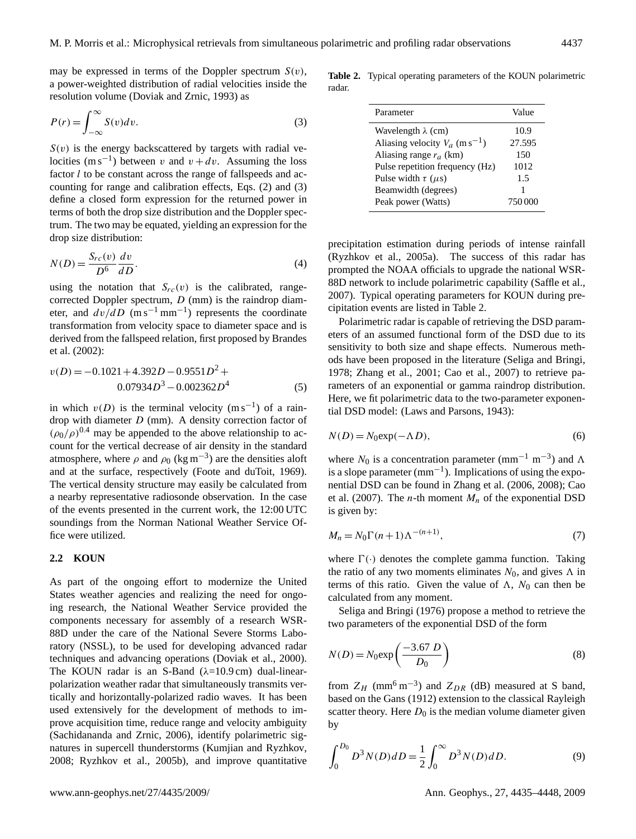may be expressed in terms of the Doppler spectrum  $S(v)$ , a power-weighted distribution of radial velocities inside the resolution volume [\(Doviak and Zrnic,](#page-12-1) [1993\)](#page-12-1) as

<span id="page-2-0"></span>
$$
P(r) = \int_{-\infty}^{\infty} S(v) dv.
$$
 (3)

 $S(v)$  is the energy backscattered by targets with radial velocities (m s<sup>-1</sup>) between v and  $v + dv$ . Assuming the loss factor *l* to be constant across the range of fallspeeds and accounting for range and calibration effects, Eqs. [\(2\)](#page-1-1) and [\(3\)](#page-2-0) define a closed form expression for the returned power in terms of both the drop size distribution and the Doppler spectrum. The two may be equated, yielding an expression for the drop size distribution:

$$
N(D) = \frac{S_{rc}(v)}{D^6} \frac{dv}{dD}.
$$
\n<sup>(4)</sup>

using the notation that  $S_{rc}(v)$  is the calibrated, rangecorrected Doppler spectrum,  $D$  (mm) is the raindrop diameter, and  $dv/dD$  (m s<sup>-1</sup> mm<sup>-1</sup>) represents the coordinate transformation from velocity space to diameter space and is derived from the fallspeed relation, first proposed by [Brandes](#page-12-6) [et al.](#page-12-6) [\(2002\)](#page-12-6):

<span id="page-2-4"></span>
$$
v(D) = -0.1021 + 4.392D - 0.9551D^{2} +
$$
  
0.07934D<sup>3</sup> - 0.002362D<sup>4</sup> (5)

in which  $v(D)$  is the terminal velocity (m s<sup>-1</sup>) of a raindrop with diameter  $D$  (mm). A density correction factor of  $(\rho_0/\rho)^{0.4}$  may be appended to the above relationship to account for the vertical decrease of air density in the standard atmosphere, where  $\rho$  and  $\rho_0$  (kg m<sup>-3</sup>) are the densities aloft and at the surface, respectively [\(Foote and duToit,](#page-13-6) [1969\)](#page-13-6). The vertical density structure may easily be calculated from a nearby representative radiosonde observation. In the case of the events presented in the current work, the 12:00 UTC soundings from the Norman National Weather Service Office were utilized.

## **2.2 KOUN**

As part of the ongoing effort to modernize the United States weather agencies and realizing the need for ongoing research, the National Weather Service provided the components necessary for assembly of a research WSR-88D under the care of the National Severe Storms Laboratory (NSSL), to be used for developing advanced radar techniques and advancing operations [\(Doviak et al.,](#page-13-7) [2000\)](#page-13-7). The KOUN radar is an S-Band  $(\lambda=10.9 \text{ cm})$  dual-linearpolarization weather radar that simultaneously transmits vertically and horizontally-polarized radio waves. It has been used extensively for the development of methods to improve acquisition time, reduce range and velocity ambiguity [\(Sachidananda and Zrnic,](#page-13-8) [2006\)](#page-13-8), identify polarimetric signatures in supercell thunderstorms [\(Kumjian and Ryzhkov,](#page-13-9) [2008;](#page-13-9) [Ryzhkov et al.,](#page-13-10) [2005b\)](#page-13-10), and improve quantitative

**Table 2.** Typical operating parameters of the KOUN polarimetric radar.

<span id="page-2-1"></span>

| Parameter                                    | Value   |
|----------------------------------------------|---------|
| Wavelength $\lambda$ (cm)                    | 10.9    |
| Aliasing velocity $V_a$ (m s <sup>-1</sup> ) | 27.595  |
| Aliasing range $r_a$ (km)                    | 150     |
| Pulse repetition frequency (Hz)              | 1012    |
| Pulse width $\tau$ ( $\mu$ s)                | 1.5     |
| Beamwidth (degrees)                          |         |
| Peak power (Watts)                           | 750.000 |

precipitation estimation during periods of intense rainfall [\(Ryzhkov et al.,](#page-13-11) [2005a\)](#page-13-11). The success of this radar has prompted the NOAA officials to upgrade the national WSR-88D network to include polarimetric capability [\(Saffle et al.,](#page-13-12) [2007\)](#page-13-12). Typical operating parameters for KOUN during precipitation events are listed in Table [2.](#page-2-1)

Polarimetric radar is capable of retrieving the DSD parameters of an assumed functional form of the DSD due to its sensitivity to both size and shape effects. Numerous methods have been proposed in the literature [\(Seliga and Bringi,](#page-13-13) [1978;](#page-13-13) [Zhang et al.,](#page-13-14) [2001;](#page-13-14) [Cao et al.,](#page-12-7) [2007\)](#page-12-7) to retrieve parameters of an exponential or gamma raindrop distribution. Here, we fit polarimetric data to the two-parameter exponential DSD model: [\(Laws and Parsons,](#page-13-15) [1943\)](#page-13-15):

$$
N(D) = N_0 \exp(-\Lambda D),\tag{6}
$$

where  $N_0$  is a concentration parameter (mm<sup>-1</sup> m<sup>-3</sup>) and  $\Lambda$ is a slope parameter  $(mm^{-1})$ . Implications of using the exponential DSD can be found in [Zhang et al.](#page-13-16) [\(2006,](#page-13-16) [2008\)](#page-13-17); [Cao](#page-12-7) [et al.](#page-12-7) [\(2007\)](#page-12-7). The *n*-th moment  $M_n$  of the exponential DSD is given by:

<span id="page-2-3"></span>
$$
M_n = N_0 \Gamma(n+1) \Lambda^{-(n+1)},\tag{7}
$$

where  $\Gamma(\cdot)$  denotes the complete gamma function. Taking the ratio of any two moments eliminates  $N_0$ , and gives  $\Lambda$  in terms of this ratio. Given the value of  $\Lambda$ ,  $N_0$  can then be calculated from any moment.

[Seliga and Bringi](#page-13-18) [\(1976\)](#page-13-18) propose a method to retrieve the two parameters of the exponential DSD of the form

<span id="page-2-2"></span>
$$
N(D) = N_0 \exp\left(\frac{-3.67 D}{D_0}\right) \tag{8}
$$

from  $Z_H$  (mm<sup>6</sup> m<sup>-3</sup>) and  $Z_{DR}$  (dB) measured at S band, based on the [Gans](#page-13-19) [\(1912\)](#page-13-19) extension to the classical Rayleigh scatter theory. Here  $D_0$  is the median volume diameter given by

$$
\int_0^{D_0} D^3 N(D) dD = \frac{1}{2} \int_0^{\infty} D^3 N(D) dD.
$$
 (9)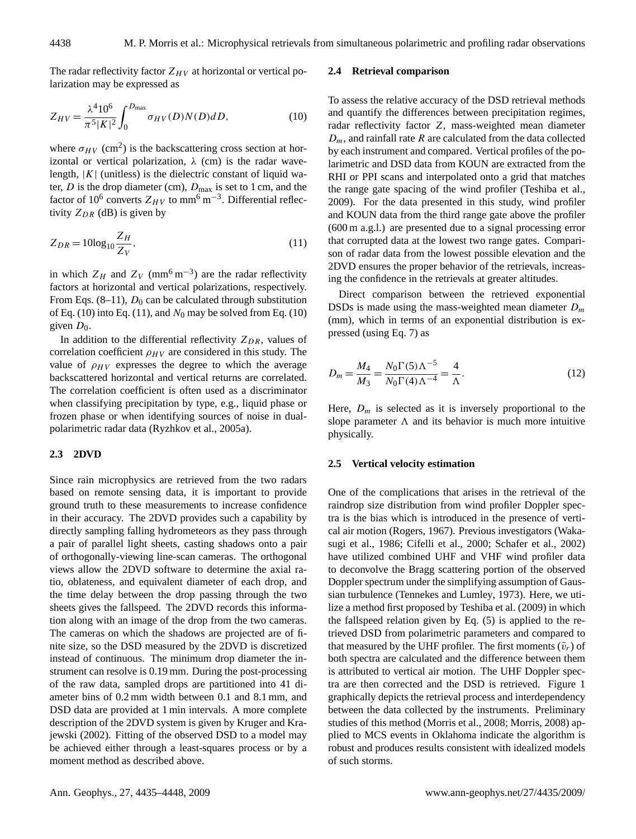The radar reflectivity factor  $Z_{HV}$  at horizontal or vertical polarization may be expressed as

<span id="page-3-1"></span>
$$
Z_{HV} = \frac{\lambda^4 10^6}{\pi^5 |K|^2} \int_0^{D_{\text{max}}} \sigma_{HV}(D) N(D) dD,
$$
 (10)

where  $\sigma_{HV}$  (cm<sup>2</sup>) is the backscattering cross section at horizontal or vertical polarization,  $\lambda$  (cm) is the radar wavelength,  $|K|$  (unitless) is the dielectric constant of liquid water,  $D$  is the drop diameter (cm),  $D_{\text{max}}$  is set to 1 cm, and the factor of 10<sup>6</sup> converts  $Z_{HV}$  to mm<sup>6</sup> m<sup>-3</sup>. Differential reflectivity  $Z_{DR}$  (dB) is given by

<span id="page-3-0"></span>
$$
Z_{DR} = 10\log_{10}\frac{Z_H}{Z_V},\tag{11}
$$

in which  $Z_H$  and  $Z_V$  (mm<sup>6</sup> m<sup>-3</sup>) are the radar reflectivity factors at horizontal and vertical polarizations, respectively. From Eqs.  $(8-11)$  $(8-11)$ ,  $D_0$  can be calculated through substitution of Eq. [\(10\)](#page-3-1) into Eq. [\(11\)](#page-3-0), and  $N_0$  may be solved from Eq. [\(10\)](#page-3-1) given  $D_0$ .

In addition to the differential reflectivity  $Z_{DR}$ , values of correlation coefficient  $\rho_{HV}$  are considered in this study. The value of  $\rho_{HV}$  expresses the degree to which the average backscattered horizontal and vertical returns are correlated. The correlation coefficient is often used as a discriminator when classifying precipitation by type, e.g., liquid phase or frozen phase or when identifying sources of noise in dualpolarimetric radar data [\(Ryzhkov et al.,](#page-13-11) [2005a\)](#page-13-11).

## **2.3 2DVD**

Since rain microphysics are retrieved from the two radars based on remote sensing data, it is important to provide ground truth to these measurements to increase confidence in their accuracy. The 2DVD provides such a capability by directly sampling falling hydrometeors as they pass through a pair of parallel light sheets, casting shadows onto a pair of orthogonally-viewing line-scan cameras. The orthogonal views allow the 2DVD software to determine the axial ratio, oblateness, and equivalent diameter of each drop, and the time delay between the drop passing through the two sheets gives the fallspeed. The 2DVD records this information along with an image of the drop from the two cameras. The cameras on which the shadows are projected are of finite size, so the DSD measured by the 2DVD is discretized instead of continuous. The minimum drop diameter the instrument can resolve is 0.19 mm. During the post-processing of the raw data, sampled drops are partitioned into 41 diameter bins of 0.2 mm width between 0.1 and 8.1 mm, and DSD data are provided at 1 min intervals. A more complete description of the 2DVD system is given by [Kruger and Kra](#page-13-20)[jewski](#page-13-20) [\(2002\)](#page-13-20). Fitting of the observed DSD to a model may be achieved either through a least-squares process or by a moment method as described above.

#### **2.4 Retrieval comparison**

To assess the relative accuracy of the DSD retrieval methods and quantify the differences between precipitation regimes, radar reflectivity factor Z, mass-weighted mean diameter  $D_m$ , and rainfall rate R are calculated from the data collected by each instrument and compared. Vertical profiles of the polarimetric and DSD data from KOUN are extracted from the RHI or PPI scans and interpolated onto a grid that matches the range gate spacing of the wind profiler [\(Teshiba et al.,](#page-13-0) [2009\)](#page-13-0). For the data presented in this study, wind profiler and KOUN data from the third range gate above the profiler (600 m a.g.l.) are presented due to a signal processing error that corrupted data at the lowest two range gates. Comparison of radar data from the lowest possible elevation and the 2DVD ensures the proper behavior of the retrievals, increasing the confidence in the retrievals at greater altitudes.

Direct comparison between the retrieved exponential DSDs is made using the mass-weighted mean diameter  $D_m$ (mm), which in terms of an exponential distribution is expressed (using Eq. [7\)](#page-2-3) as

$$
D_m = \frac{M_4}{M_3} = \frac{N_0 \Gamma(5) \Lambda^{-5}}{N_0 \Gamma(4) \Lambda^{-4}} = \frac{4}{\Lambda}.
$$
 (12)

Here,  $D_m$  is selected as it is inversely proportional to the slope parameter  $\Lambda$  and its behavior is much more intuitive physically.

#### **2.5 Vertical velocity estimation**

One of the complications that arises in the retrieval of the raindrop size distribution from wind profiler Doppler spectra is the bias which is introduced in the presence of vertical air motion [\(Rogers,](#page-13-21) [1967\)](#page-13-21). Previous investigators [\(Waka](#page-13-22)[sugi et al.,](#page-13-22) [1986;](#page-13-22) [Cifelli et al.,](#page-12-8) [2000;](#page-12-8) [Schafer et al.,](#page-13-23) [2002\)](#page-13-23) have utilized combined UHF and VHF wind profiler data to deconvolve the Bragg scattering portion of the observed Doppler spectrum under the simplifying assumption of Gaussian turbulence [\(Tennekes and Lumley,](#page-13-24) [1973\)](#page-13-24). Here, we utilize a method first proposed by [Teshiba et al.](#page-13-0) [\(2009\)](#page-13-0) in which the fallspeed relation given by Eq. [\(5\)](#page-2-4) is applied to the retrieved DSD from polarimetric parameters and compared to that measured by the UHF profiler. The first moments  $(\bar{v}_r)$  of both spectra are calculated and the difference between them is attributed to vertical air motion. The UHF Doppler spectra are then corrected and the DSD is retrieved. Figure [1](#page-4-0) graphically depicts the retrieval process and interdependency between the data collected by the instruments. Preliminary studies of this method [\(Morris et al.,](#page-13-25) [2008;](#page-13-25) [Morris,](#page-13-26) [2008\)](#page-13-26) applied to MCS events in Oklahoma indicate the algorithm is robust and produces results consistent with idealized models of such storms.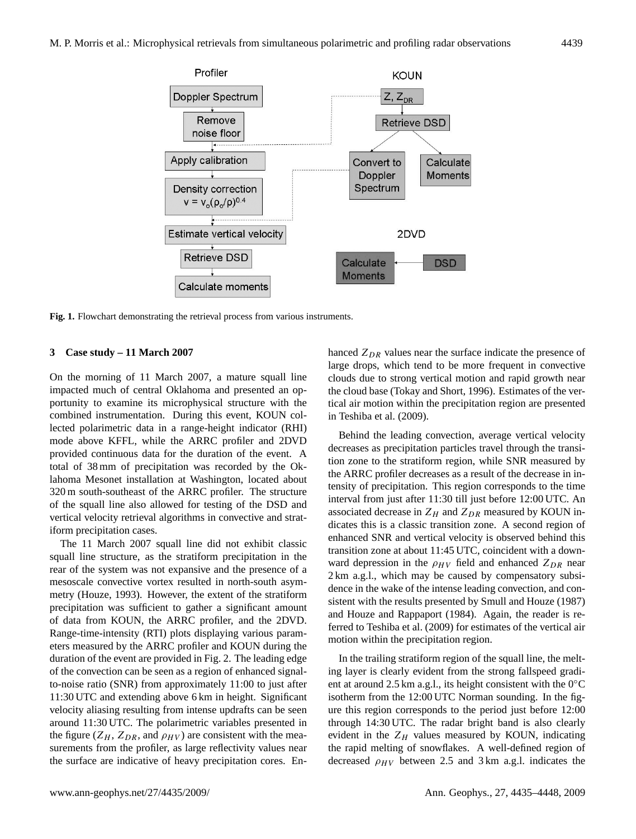

<span id="page-4-0"></span>**Fig. 1.** Flowchart demonstrating the retrieval process from various instruments.

# **3 Case study – 11 March 2007**

On the morning of 11 March 2007, a mature squall line impacted much of central Oklahoma and presented an opportunity to examine its microphysical structure with the combined instrumentation. During this event, KOUN collected polarimetric data in a range-height indicator (RHI) mode above KFFL, while the ARRC profiler and 2DVD provided continuous data for the duration of the event. A total of 38 mm of precipitation was recorded by the Oklahoma Mesonet installation at Washington, located about 320 m south-southeast of the ARRC profiler. The structure of the squall line also allowed for testing of the DSD and vertical velocity retrieval algorithms in convective and stratiform precipitation cases.

The 11 March 2007 squall line did not exhibit classic squall line structure, as the stratiform precipitation in the rear of the system was not expansive and the presence of a mesoscale convective vortex resulted in north-south asymmetry [\(Houze,](#page-13-27) [1993\)](#page-13-27). However, the extent of the stratiform precipitation was sufficient to gather a significant amount of data from KOUN, the ARRC profiler, and the 2DVD. Range-time-intensity (RTI) plots displaying various parameters measured by the ARRC profiler and KOUN during the duration of the event are provided in Fig. [2.](#page-5-0) The leading edge of the convection can be seen as a region of enhanced signalto-noise ratio (SNR) from approximately 11:00 to just after 11:30 UTC and extending above 6 km in height. Significant velocity aliasing resulting from intense updrafts can be seen around 11:30 UTC. The polarimetric variables presented in the figure ( $Z_H$ ,  $Z_{DR}$ , and  $\rho_{HV}$ ) are consistent with the measurements from the profiler, as large reflectivity values near the surface are indicative of heavy precipitation cores. Enhanced  $Z_{DR}$  values near the surface indicate the presence of large drops, which tend to be more frequent in convective clouds due to strong vertical motion and rapid growth near the cloud base [\(Tokay and Short,](#page-13-28) [1996\)](#page-13-28). Estimates of the vertical air motion within the precipitation region are presented in [Teshiba et al.](#page-13-0) [\(2009\)](#page-13-0).

Behind the leading convection, average vertical velocity decreases as precipitation particles travel through the transition zone to the stratiform region, while SNR measured by the ARRC profiler decreases as a result of the decrease in intensity of precipitation. This region corresponds to the time interval from just after 11:30 till just before 12:00 UTC. An associated decrease in  $Z_H$  and  $Z_{DR}$  measured by KOUN indicates this is a classic transition zone. A second region of enhanced SNR and vertical velocity is observed behind this transition zone at about 11:45 UTC, coincident with a downward depression in the  $\rho_{HV}$  field and enhanced  $Z_{DR}$  near 2 km a.g.l., which may be caused by compensatory subsidence in the wake of the intense leading convection, and consistent with the results presented by [Smull and Houze](#page-13-4) [\(1987\)](#page-13-4) and [Houze and Rappaport](#page-13-29) [\(1984\)](#page-13-29). Again, the reader is referred to [Teshiba et al.](#page-13-0) [\(2009\)](#page-13-0) for estimates of the vertical air motion within the precipitation region.

In the trailing stratiform region of the squall line, the melting layer is clearly evident from the strong fallspeed gradient at around 2.5 km a.g.l., its height consistent with the  $0^{\circ}$ C isotherm from the 12:00 UTC Norman sounding. In the figure this region corresponds to the period just before 12:00 through 14:30 UTC. The radar bright band is also clearly evident in the  $Z_H$  values measured by KOUN, indicating the rapid melting of snowflakes. A well-defined region of decreased  $\rho_{HV}$  between 2.5 and 3 km a.g.l. indicates the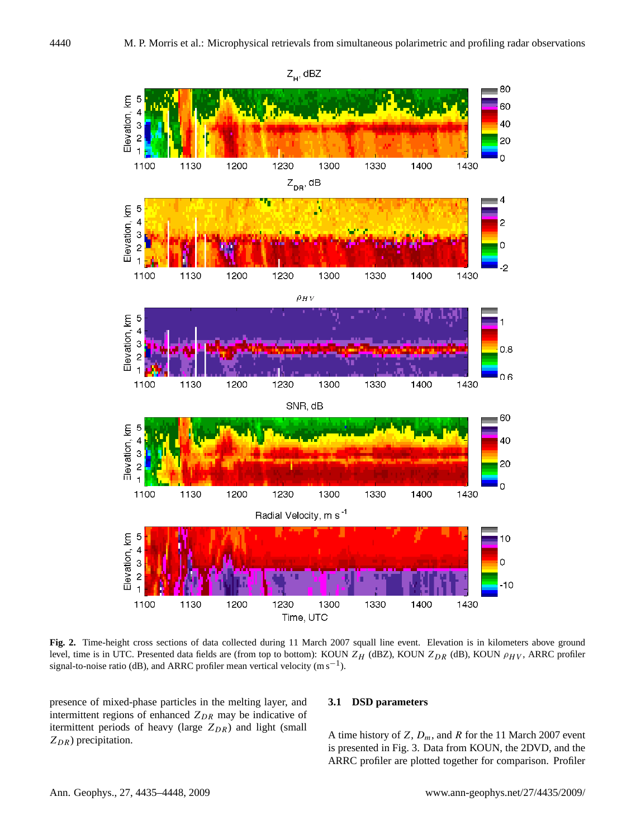

<span id="page-5-0"></span>**Fig. 2.** Time-height cross sections of data collected during 11 March 2007 squall line event. Elevation is in kilometers above ground level, time is in UTC. Presented data fields are (from top to bottom): KOUN  $Z_H$  (dBZ), KOUN  $Z_{DR}$  (dB), KOUN  $\rho_{HV}$ , ARRC profiler signal-to-noise ratio (dB), and ARRC profiler mean vertical velocity  $(m s^{-1})$ .

presence of mixed-phase particles in the melting layer, and intermittent regions of enhanced  $Z_{DR}$  may be indicative of itermittent periods of heavy (large  $Z_{DR}$ ) and light (small  $Z_{DR}$ ) precipitation.

## **3.1 DSD parameters**

A time history of Z,  $D_m$ , and R for the 11 March 2007 event is presented in Fig. [3.](#page-6-0) Data from KOUN, the 2DVD, and the ARRC profiler are plotted together for comparison. Profiler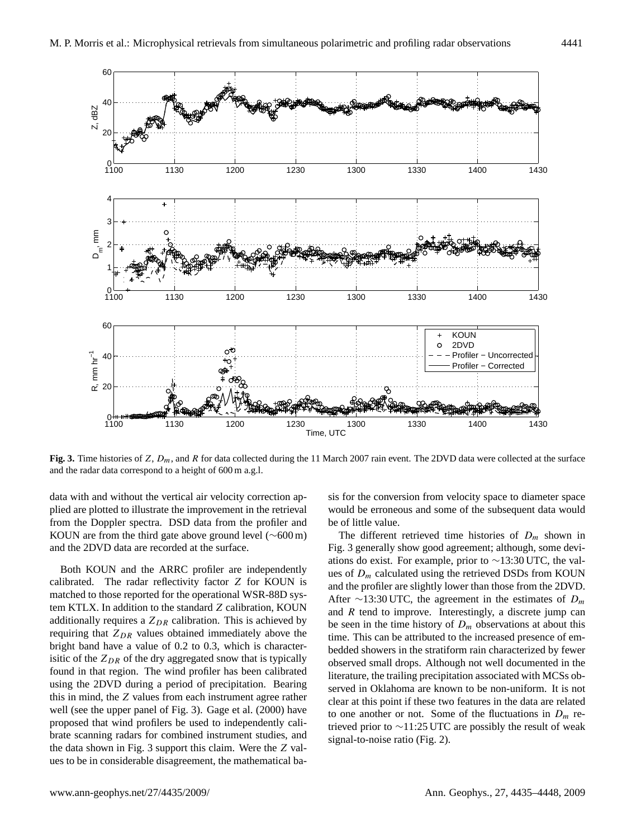

<span id="page-6-0"></span>**Fig. 3.** Time histories of Z,  $D_m$ , and R for data collected during the 11 March 2007 rain event. The 2DVD data were collected at the surface and the radar data correspond to a height of 600 m a.g.l.

data with and without the vertical air velocity correction applied are plotted to illustrate the improvement in the retrieval from the Doppler spectra. DSD data from the profiler and KOUN are from the third gate above ground level (∼600 m) and the 2DVD data are recorded at the surface.

Both KOUN and the ARRC profiler are independently calibrated. The radar reflectivity factor Z for KOUN is matched to those reported for the operational WSR-88D system KTLX. In addition to the standard Z calibration, KOUN additionally requires a  $Z_{DR}$  calibration. This is achieved by requiring that  $Z_{DR}$  values obtained immediately above the bright band have a value of 0.2 to 0.3, which is characterisitic of the  $Z_{DR}$  of the dry aggregated snow that is typically found in that region. The wind profiler has been calibrated using the 2DVD during a period of precipitation. Bearing this in mind, the Z values from each instrument agree rather well (see the upper panel of Fig. [3\)](#page-6-0). [Gage et al.](#page-13-30) [\(2000\)](#page-13-30) have proposed that wind profilers be used to independently calibrate scanning radars for combined instrument studies, and the data shown in Fig. [3](#page-6-0) support this claim. Were the Z values to be in considerable disagreement, the mathematical ba-

sis for the conversion from velocity space to diameter space would be erroneous and some of the subsequent data would be of little value.

The different retrieved time histories of  $D_m$  shown in Fig. [3](#page-6-0) generally show good agreement; although, some deviations do exist. For example, prior to ∼13:30 UTC, the values of  $D_m$  calculated using the retrieved DSDs from KOUN and the profiler are slightly lower than those from the 2DVD. After ∼13:30 UTC, the agreement in the estimates of  $D_m$ and  $R$  tend to improve. Interestingly, a discrete jump can be seen in the time history of  $D_m$  observations at about this time. This can be attributed to the increased presence of embedded showers in the stratiform rain characterized by fewer observed small drops. Although not well documented in the literature, the trailing precipitation associated with MCSs observed in Oklahoma are known to be non-uniform. It is not clear at this point if these two features in the data are related to one another or not. Some of the fluctuations in  $D_m$  retrieved prior to ∼11:25 UTC are possibly the result of weak signal-to-noise ratio (Fig. [2\)](#page-5-0).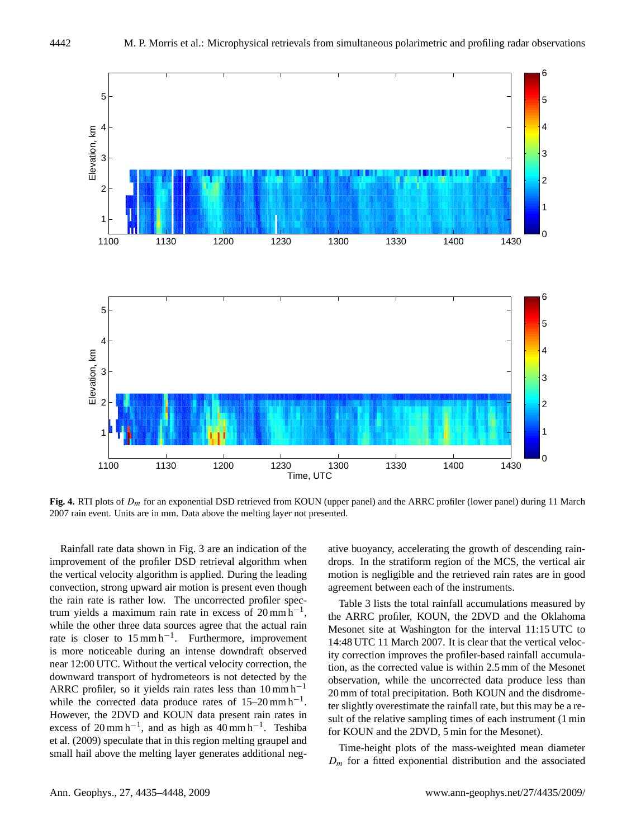

<span id="page-7-0"></span>**Fig. 4.** RTI plots of Dm for an exponential DSD retrieved from KOUN (upper panel) and the ARRC profiler (lower panel) during 11 March 2007 rain event. Units are in mm. Data above the melting layer not presented.

Rainfall rate data shown in Fig. [3](#page-6-0) are an indication of the improvement of the profiler DSD retrieval algorithm when the vertical velocity algorithm is applied. During the leading convection, strong upward air motion is present even though the rain rate is rather low. The uncorrected profiler spectrum yields a maximum rain rate in excess of  $20 \text{ mm h}^{-1}$ , while the other three data sources agree that the actual rain rate is closer to  $15 \text{ mm h}^{-1}$ . Furthermore, improvement is more noticeable during an intense downdraft observed near 12:00 UTC. Without the vertical velocity correction, the downward transport of hydrometeors is not detected by the ARRC profiler, so it yields rain rates less than  $10 \text{ mm h}^{-1}$ while the corrected data produce rates of  $15-20$  mm h<sup>-1</sup>. However, the 2DVD and KOUN data present rain rates in excess of  $20 \text{ mm h}^{-1}$ , and as high as  $40 \text{ mm h}^{-1}$ . [Teshiba](#page-13-0) [et al.](#page-13-0) [\(2009\)](#page-13-0) speculate that in this region melting graupel and small hail above the melting layer generates additional negative buoyancy, accelerating the growth of descending raindrops. In the stratiform region of the MCS, the vertical air motion is negligible and the retrieved rain rates are in good agreement between each of the instruments.

Table [3](#page-8-0) lists the total rainfall accumulations measured by the ARRC profiler, KOUN, the 2DVD and the Oklahoma Mesonet site at Washington for the interval 11:15 UTC to 14:48 UTC 11 March 2007. It is clear that the vertical velocity correction improves the profiler-based rainfall accumulation, as the corrected value is within 2.5 mm of the Mesonet observation, while the uncorrected data produce less than 20 mm of total precipitation. Both KOUN and the disdrometer slightly overestimate the rainfall rate, but this may be a result of the relative sampling times of each instrument (1 min for KOUN and the 2DVD, 5 min for the Mesonet).

Time-height plots of the mass-weighted mean diameter  $D_m$  for a fitted exponential distribution and the associated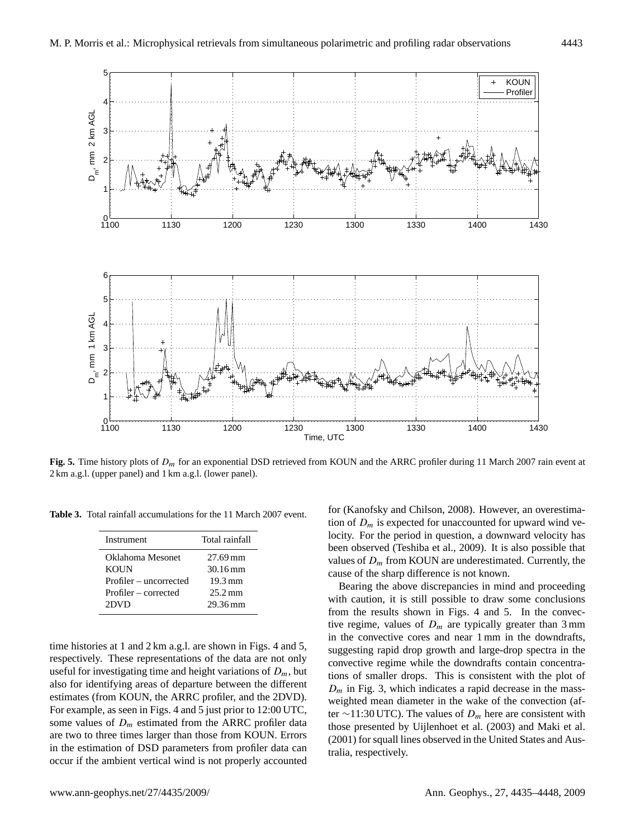

<span id="page-8-1"></span>**Fig. 5.** Time history plots of  $D_m$  for an exponential DSD retrieved from KOUN and the ARRC profiler during 11 March 2007 rain event at 2 km a.g.l. (upper panel) and 1 km a.g.l. (lower panel).

**Table 3.** Total rainfall accumulations for the 11 March 2007 event.

<span id="page-8-0"></span>

| Total rainfall       |
|----------------------|
| 27.69 mm             |
| 30.16 mm             |
| $19.3 \,\mathrm{mm}$ |
| $25.2 \,\mathrm{mm}$ |
| 29.36 mm             |
|                      |

time histories at 1 and 2 km a.g.l. are shown in Figs. [4](#page-7-0) and [5,](#page-8-1) respectively. These representations of the data are not only useful for investigating time and height variations of  $D_m$ , but also for identifying areas of departure between the different estimates (from KOUN, the ARRC profiler, and the 2DVD). For example, as seen in Figs. [4](#page-7-0) and [5](#page-8-1) just prior to 12:00 UTC, some values of  $D_m$  estimated from the ARRC profiler data are two to three times larger than those from KOUN. Errors in the estimation of DSD parameters from profiler data can occur if the ambient vertical wind is not properly accounted

for [\(Kanofsky and Chilson,](#page-13-31) [2008\)](#page-13-31). However, an overestimation of  $D_m$  is expected for unaccounted for upward wind velocity. For the period in question, a downward velocity has been observed [\(Teshiba et al.,](#page-13-0) [2009\)](#page-13-0). It is also possible that values of  $D_m$  from KOUN are underestimated. Currently, the cause of the sharp difference is not known.

Bearing the above discrepancies in mind and proceeding with caution, it is still possible to draw some conclusions from the results shown in Figs. [4](#page-7-0) and [5.](#page-8-1) In the convective regime, values of  $D_m$  are typically greater than 3 mm in the convective cores and near 1 mm in the downdrafts, suggesting rapid drop growth and large-drop spectra in the convective regime while the downdrafts contain concentrations of smaller drops. This is consistent with the plot of  $D_m$  in Fig. [3,](#page-6-0) which indicates a rapid decrease in the massweighted mean diameter in the wake of the convection (after ∼11:30 UTC). The values of  $D_m$  here are consistent with those presented by [Uijlenhoet et al.](#page-13-32) [\(2003\)](#page-13-32) and [Maki et al.](#page-13-33) [\(2001\)](#page-13-33) for squall lines observed in the United States and Australia, respectively.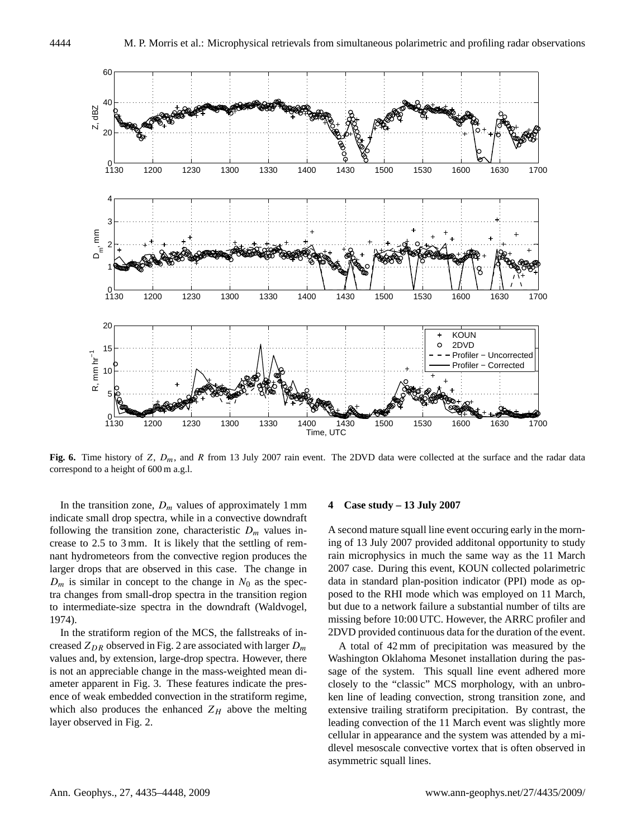

<span id="page-9-0"></span>**Fig. 6.** Time history of Z,  $D_m$ , and R from 13 July 2007 rain event. The 2DVD data were collected at the surface and the radar data correspond to a height of 600 m a.g.l.

In the transition zone,  $D_m$  values of approximately 1 mm indicate small drop spectra, while in a convective downdraft following the transition zone, characteristic  $D_m$  values increase to 2.5 to 3 mm. It is likely that the settling of remnant hydrometeors from the convective region produces the larger drops that are observed in this case. The change in  $D_m$  is similar in concept to the change in  $N_0$  as the spectra changes from small-drop spectra in the transition region to intermediate-size spectra in the downdraft [\(Waldvogel,](#page-13-34) [1974\)](#page-13-34).

In the stratiform region of the MCS, the fallstreaks of increased  $Z_{DR}$  observed in Fig. [2](#page-5-0) are associated with larger  $D_m$ values and, by extension, large-drop spectra. However, there is not an appreciable change in the mass-weighted mean diameter apparent in Fig. [3.](#page-6-0) These features indicate the presence of weak embedded convection in the stratiform regime, which also produces the enhanced  $Z_H$  above the melting layer observed in Fig. [2.](#page-5-0)

#### **4 Case study – 13 July 2007**

A second mature squall line event occuring early in the morning of 13 July 2007 provided additonal opportunity to study rain microphysics in much the same way as the 11 March 2007 case. During this event, KOUN collected polarimetric data in standard plan-position indicator (PPI) mode as opposed to the RHI mode which was employed on 11 March, but due to a network failure a substantial number of tilts are missing before 10:00 UTC. However, the ARRC profiler and 2DVD provided continuous data for the duration of the event.

A total of 42 mm of precipitation was measured by the Washington Oklahoma Mesonet installation during the passage of the system. This squall line event adhered more closely to the "classic" MCS morphology, with an unbroken line of leading convection, strong transition zone, and extensive trailing stratiform precipitation. By contrast, the leading convection of the 11 March event was slightly more cellular in appearance and the system was attended by a midlevel mesoscale convective vortex that is often observed in asymmetric squall lines.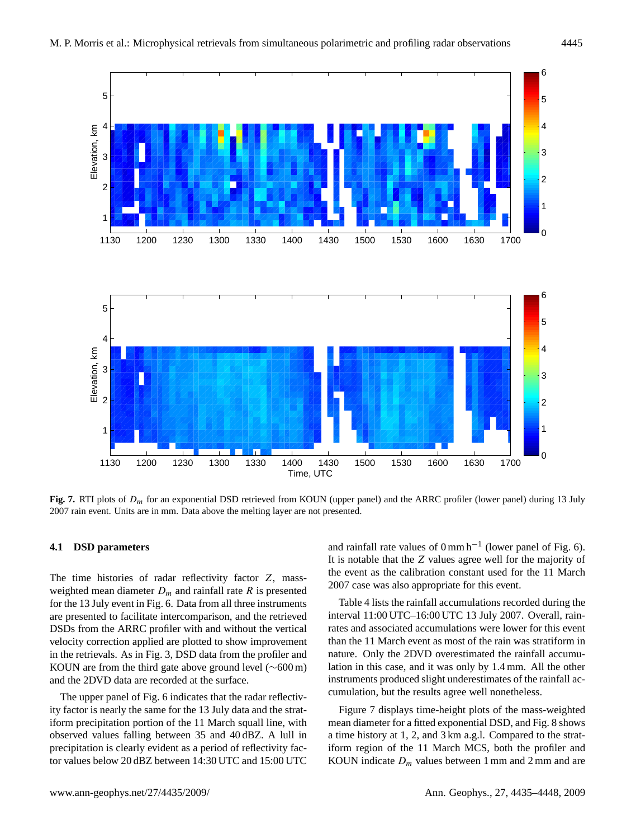

<span id="page-10-0"></span>Fig. 7. RTI plots of  $D_m$  for an exponential DSD retrieved from KOUN (upper panel) and the ARRC profiler (lower panel) during 13 July 2007 rain event. Units are in mm. Data above the melting layer are not presented.

# **4.1 DSD parameters**

The time histories of radar reflectivity factor Z, massweighted mean diameter  $D_m$  and rainfall rate R is presented for the 13 July event in Fig. [6.](#page-9-0) Data from all three instruments are presented to facilitate intercomparison, and the retrieved DSDs from the ARRC profiler with and without the vertical velocity correction applied are plotted to show improvement in the retrievals. As in Fig. [3,](#page-6-0) DSD data from the profiler and KOUN are from the third gate above ground level ( $\sim 600 \text{ m}$ ) and the 2DVD data are recorded at the surface.

The upper panel of Fig. [6](#page-9-0) indicates that the radar reflectivity factor is nearly the same for the 13 July data and the stratiform precipitation portion of the 11 March squall line, with observed values falling between 35 and 40 dBZ. A lull in precipitation is clearly evident as a period of reflectivity factor values below 20 dBZ between 14:30 UTC and 15:00 UTC

and rainfall rate values of  $0 \text{ mm h}^{-1}$  (lower panel of Fig. [6\)](#page-9-0). It is notable that the Z values agree well for the majority of the event as the calibration constant used for the 11 March 2007 case was also appropriate for this event.

Table [4](#page-11-0) lists the rainfall accumulations recorded during the interval 11:00 UTC–16:00 UTC 13 July 2007. Overall, rainrates and associated accumulations were lower for this event than the 11 March event as most of the rain was stratiform in nature. Only the 2DVD overestimated the rainfall accumulation in this case, and it was only by 1.4 mm. All the other instruments produced slight underestimates of the rainfall accumulation, but the results agree well nonetheless.

Figure [7](#page-10-0) displays time-height plots of the mass-weighted mean diameter for a fitted exponential DSD, and Fig. [8](#page-11-1) shows a time history at 1, 2, and 3 km a.g.l. Compared to the stratiform region of the 11 March MCS, both the profiler and KOUN indicate  $D_m$  values between 1 mm and 2 mm and are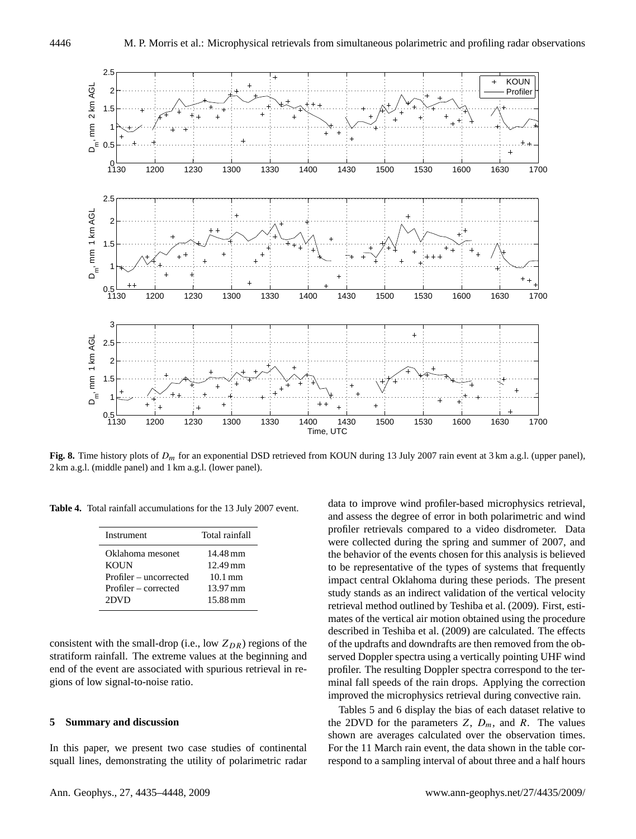

<span id="page-11-1"></span>**Fig. 8.** Time history plots of  $D_m$  for an exponential DSD retrieved from KOUN during 13 July 2007 rain event at 3 km a.g.l. (upper panel), 2 km a.g.l. (middle panel) and 1 km a.g.l. (lower panel).

**Table 4.** Total rainfall accumulations for the 13 July 2007 event.

<span id="page-11-0"></span>

| Total rainfall        |  |
|-----------------------|--|
| 14.48 mm              |  |
| $12.49 \,\mathrm{mm}$ |  |
| $10.1 \text{ mm}$     |  |
| $13.97 \,\mathrm{mm}$ |  |
| 15.88 mm              |  |
|                       |  |

consistent with the small-drop (i.e., low  $Z_{DR}$ ) regions of the stratiform rainfall. The extreme values at the beginning and end of the event are associated with spurious retrieval in regions of low signal-to-noise ratio.

#### **5 Summary and discussion**

In this paper, we present two case studies of continental squall lines, demonstrating the utility of polarimetric radar

data to improve wind profiler-based microphysics retrieval, and assess the degree of error in both polarimetric and wind profiler retrievals compared to a video disdrometer. Data were collected during the spring and summer of 2007, and the behavior of the events chosen for this analysis is believed to be representative of the types of systems that frequently impact central Oklahoma during these periods. The present study stands as an indirect validation of the vertical velocity retrieval method outlined by [Teshiba et al.](#page-13-0) [\(2009\)](#page-13-0). First, estimates of the vertical air motion obtained using the procedure described in [Teshiba et al.](#page-13-0) [\(2009\)](#page-13-0) are calculated. The effects of the updrafts and downdrafts are then removed from the observed Doppler spectra using a vertically pointing UHF wind profiler. The resulting Doppler spectra correspond to the terminal fall speeds of the rain drops. Applying the correction improved the microphysics retrieval during convective rain.

Tables [5](#page-12-9) and [6](#page-12-10) display the bias of each dataset relative to the 2DVD for the parameters  $Z$ ,  $D_m$ , and  $R$ . The values shown are averages calculated over the observation times. For the 11 March rain event, the data shown in the table correspond to a sampling interval of about three and a half hours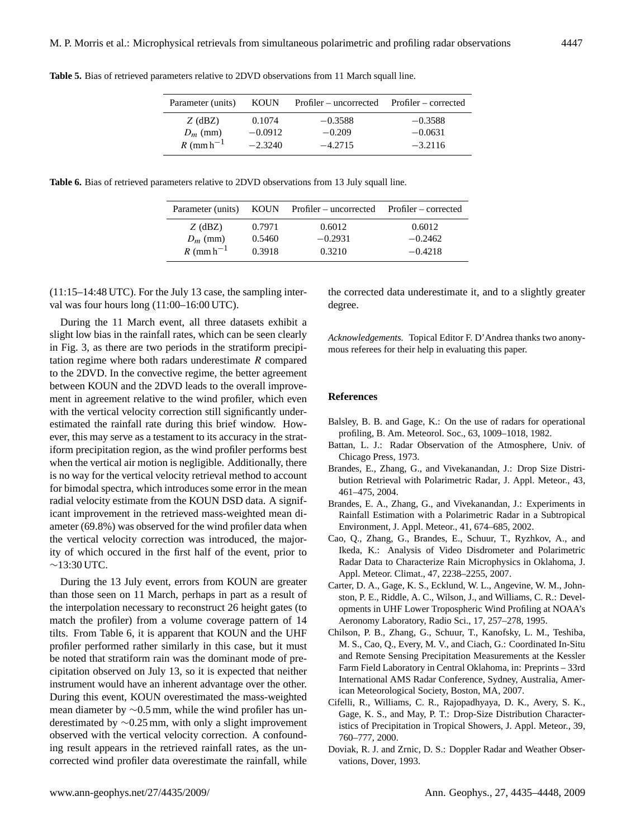| Parameter (units)             | <b>KOUN</b>         | Profiler – uncorrected Profiler – corrected |                        |
|-------------------------------|---------------------|---------------------------------------------|------------------------|
| $Z$ (dBZ)<br>$D_m$ (mm)       | 0.1074<br>$-0.0912$ | $-0.3588$<br>$-0.209$                       | $-0.3588$<br>$-0.0631$ |
| $R~(\text{mm}~\text{h}^{-1})$ | $-2.3240$           | $-4.2715$                                   | $-3.2116$              |

<span id="page-12-9"></span>**Table 5.** Bias of retrieved parameters relative to 2DVD observations from 11 March squall line.

<span id="page-12-10"></span>**Table 6.** Bias of retrieved parameters relative to 2DVD observations from 13 July squall line.

| Parameter (units)             |                  | KOUN Profiler – uncorrected Profiler – corrected |                     |
|-------------------------------|------------------|--------------------------------------------------|---------------------|
| $Z$ (dBZ)<br>$D_m$ (mm)       | 0.7971<br>0.5460 | 0.6012<br>$-0.2931$                              | 0.6012<br>$-0.2462$ |
| $R~(\text{mm}~\text{h}^{-1})$ | 0.3918           | 0.3210                                           | $-0.4218$           |

(11:15–14:48 UTC). For the July 13 case, the sampling interval was four hours long (11:00-16:00 UTC).

During the 11 March event, all three datasets exhibit a slight low bias in the rainfall rates, which can be seen clearly in Fig. [3,](#page-6-0) as there are two periods in the stratiform precipitation regime where both radars underestimate R compared to the 2DVD. In the convective regime, the better agreement between KOUN and the 2DVD leads to the overall improvement in agreement relative to the wind profiler, which even with the vertical velocity correction still significantly underestimated the rainfall rate during this brief window. However, this may serve as a testament to its accuracy in the stratiform precipitation region, as the wind profiler performs best when the vertical air motion is negligible. Additionally, there is no way for the vertical velocity retrieval method to account for bimodal spectra, which introduces some error in the mean radial velocity estimate from the KOUN DSD data. A significant improvement in the retrieved mass-weighted mean diameter (69.8%) was observed for the wind profiler data when the vertical velocity correction was introduced, the majority of which occured in the first half of the event, prior to ∼13:30 UTC.

During the 13 July event, errors from KOUN are greater than those seen on 11 March, perhaps in part as a result of the interpolation necessary to reconstruct 26 height gates (to match the profiler) from a volume coverage pattern of 14 tilts. From Table [6,](#page-12-10) it is apparent that KOUN and the UHF profiler performed rather similarly in this case, but it must be noted that stratiform rain was the dominant mode of precipitation observed on July 13, so it is expected that neither instrument would have an inherent advantage over the other. During this event, KOUN overestimated the mass-weighted mean diameter by ∼0.5 mm, while the wind profiler has underestimated by ∼0.25 mm, with only a slight improvement observed with the vertical velocity correction. A confounding result appears in the retrieved rainfall rates, as the uncorrected wind profiler data overestimate the rainfall, while

the corrected data underestimate it, and to a slightly greater degree.

*Acknowledgements.* Topical Editor F. D'Andrea thanks two anonymous referees for their help in evaluating this paper.

# **References**

- <span id="page-12-5"></span>Balsley, B. B. and Gage, K.: On the use of radars for operational profiling, B. Am. Meteorol. Soc., 63, 1009–1018, 1982.
- <span id="page-12-4"></span>Battan, L. J.: Radar Observation of the Atmosphere, Univ. of Chicago Press, 1973.
- <span id="page-12-0"></span>Brandes, E., Zhang, G., and Vivekanandan, J.: Drop Size Distribution Retrieval with Polarimetric Radar, J. Appl. Meteor., 43, 461–475, 2004.
- <span id="page-12-6"></span>Brandes, E. A., Zhang, G., and Vivekanandan, J.: Experiments in Rainfall Estimation with a Polarimetric Radar in a Subtropical Environment, J. Appl. Meteor., 41, 674–685, 2002.
- <span id="page-12-7"></span>Cao, Q., Zhang, G., Brandes, E., Schuur, T., Ryzhkov, A., and Ikeda, K.: Analysis of Video Disdrometer and Polarimetric Radar Data to Characterize Rain Microphysics in Oklahoma, J. Appl. Meteor. Climat., 47, 2238–2255, 2007.
- <span id="page-12-3"></span>Carter, D. A., Gage, K. S., Ecklund, W. L., Angevine, W. M., Johnston, P. E., Riddle, A. C., Wilson, J., and Williams, C. R.: Developments in UHF Lower Tropospheric Wind Profiling at NOAA's Aeronomy Laboratory, Radio Sci., 17, 257–278, 1995.
- <span id="page-12-2"></span>Chilson, P. B., Zhang, G., Schuur, T., Kanofsky, L. M., Teshiba, M. S., Cao, Q., Every, M. V., and Ciach, G.: Coordinated In-Situ and Remote Sensing Precipitation Measurements at the Kessler Farm Field Laboratory in Central Oklahoma, in: Preprints – 33rd International AMS Radar Conference, Sydney, Australia, American Meteorological Society, Boston, MA, 2007.
- <span id="page-12-8"></span>Cifelli, R., Williams, C. R., Rajopadhyaya, D. K., Avery, S. K., Gage, K. S., and May, P. T.: Drop-Size Distribution Characteristics of Precipitation in Tropical Showers, J. Appl. Meteor., 39, 760–777, 2000.
- <span id="page-12-1"></span>Doviak, R. J. and Zrnic, D. S.: Doppler Radar and Weather Observations, Dover, 1993.